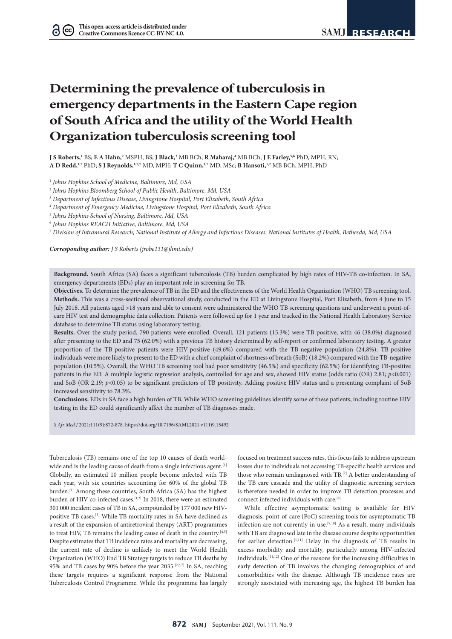# **Determining the prevalence of tuberculosis in emergency departments in the Eastern Cape region of South Africa and the utility of the World Health Organization tuberculosis screening tool**

**J S Roberts,'** BS; **E A Hahn,<sup>2</sup> MSPH, BS; J Black,<sup>3</sup> MB BCh; <b>R Maharaj,<sup>4</sup> MB BCh; J E Farley,<sup>5,6</sup> PhD, MPH, RN; A D Redd,1,7** PhD; **S J Reynolds,1,2,7** MD, MPH; **T C Quinn,1,7** MD, MSc; **B Hansoti,1,2** MB BCh, MPH, PhD

<sup>1</sup> *Johns Hopkins School of Medicine, Baltimore, Md, USA*

<sup>2</sup> *Johns Hopkins Bloomberg School of Public Health, Baltimore, Md, USA*

<sup>3</sup> *Department of Infectious Disease, Livingstone Hospital, Port Elizabeth, South Africa*

<sup>4</sup> *Department of Emergency Medicine, Livingstone Hospital, Port Elizabeth, South Africa*

<sup>5</sup> *Johns Hopkins School of Nursing, Baltimore, Md, USA*

<sup>6</sup> *Johns Hopkins REACH Initiative, Baltimore, Md, USA*

<sup>7</sup> *Division of Intramural Research, National Institute of Allergy and Infectious Diseases, National Institutes of Health, Bethesda, Md, USA*

*Corresponding author: J S Roberts [\(jrobe131@jhmi.edu](mailto:jrobe131@jhmi.edu))*

**Background.** South Africa (SA) faces a significant tuberculosis (TB) burden complicated by high rates of HIV-TB co-infection. In SA, emergency departments (EDs) play an important role in screening for TB.

**Objectives.** To determine the prevalence of TB in the ED and the effectiveness of the World Health Organization (WHO) TB screening tool. **Methods.** This was a cross-sectional observational study, conducted in the ED at Livingstone Hospital, Port Elizabeth, from 4 June to 15 July 2018. All patients aged >18 years and able to consent were administered the WHO TB screening questions and underwent a point-ofcare HIV test and demographic data collection. Patients were followed up for 1 year and tracked in the National Health Laboratory Service database to determine TB status using laboratory testing.

**Results.** Over the study period, 790 patients were enrolled. Overall, 121 patients (15.3%) were TB-positive, with 46 (38.0%) diagnosed after presenting to the ED and 75 (62.0%) with a previous TB history determined by self-report or confirmed laboratory testing. A greater proportion of the TB-positive patients were HIV-positive (49.6%) compared with the TB-negative population (24.8%). TB-positive individuals were more likely to present to the ED with a chief complaint of shortness of breath (SoB) (18.2%) compared with the TB-negative population (10.5%). Overall, the WHO TB screening tool had poor sensitivity (46.5%) and specificity (62.5%) for identifying TB-positive patients in the ED. A multiple logistic regression analysis, controlled for age and sex, showed HIV status (odds ratio (OR) 2.81; *p*<0.001) and SoB (OR 2.19;  $p$ <0.05) to be significant predictors of TB positivity. Adding positive HIV status and a presenting complaint of SoB increased sensitivity to 78.3%.

**Conclusions.** EDs in SA face a high burden of TB. While WHO screening guidelines identify some of these patients, including routine HIV testing in the ED could significantly affect the number of TB diagnoses made.

*S Afr Med J* 2021;111(9):872-878. <https://doi.org/10.7196/SAMJ.2021.v111i9.15492>

Tuberculosis (TB) remains one of the top 10 causes of death worldwide and is the leading cause of death from a single infectious agent.<sup>[1]</sup> Globally, an estimated 10 million people become infected with TB each year, with six countries accounting for 60% of the global TB burden.<sup>[1]</sup> Among these countries, South Africa (SA) has the highest burden of HIV co-infected cases.<sup>[1,2]</sup> In 2018, there were an estimated 301 000 incident cases of TB in SA, compounded by 177 000 new HIVpositive TB cases.[3] While TB mortality rates in SA have declined as a result of the expansion of antiretroviral therapy (ART) programmes to treat HIV, TB remains the leading cause of death in the country.<sup>[4,5]</sup> Despite estimates that TB incidence rates and mortality are decreasing, the current rate of decline is unlikely to meet the World Health Organization (WHO) End TB Strategy targets to reduce TB deaths by 95% and TB cases by 90% before the year 2035.[2,6,7] In SA, reaching these targets requires a significant response from the National Tuberculosis Control Programme. While the programme has largely

focused on treatment success rates, this focus fails to address upstream losses due to individuals not accessing TB-specific health services and those who remain undiagnosed with TB.<sup>[2]</sup> A better understanding of the TB care cascade and the utility of diagnostic screening services is therefore needed in order to improve TB detection processes and connect infected individuals with care.[8]

While effective asymptomatic testing is available for HIV diagnosis, point-of-care (PoC) screening tools for asymptomatic TB infection are not currently in use.<sup>[9,10]</sup> As a result, many individuals with TB are diagnosed late in the disease course despite opportunities for earlier detection.[1,11] Delay in the diagnosis of TB results in excess morbidity and mortality, particularly among HIV-infected individuals.[11,12] One of the reasons for the increasing difficulties in early detection of TB involves the changing demographics of and comorbidities with the disease. Although TB incidence rates are strongly associated with increasing age, the highest TB burden has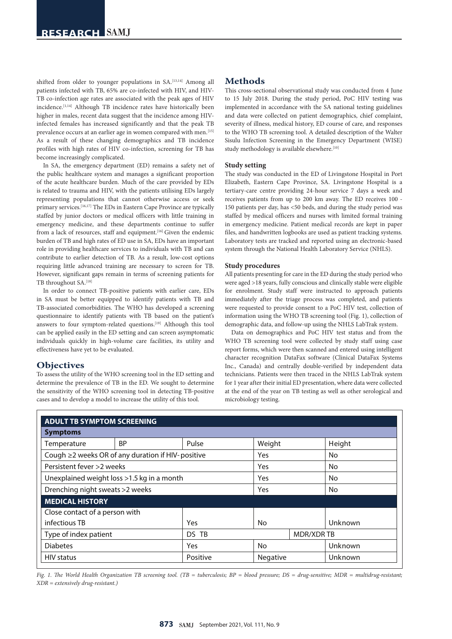shifted from older to younger populations in SA.<sup>[13,14]</sup> Among all patients infected with TB, 65% are co-infected with HIV, and HIV-TB co-infection age rates are associated with the peak ages of HIV incidence.[1,14] Although TB incidence rates have historically been higher in males, recent data suggest that the incidence among HIVinfected females has increased significantly and that the peak TB prevalence occurs at an earlier age in women compared with men.<sup>[15]</sup> As a result of these changing demographics and TB incidence profiles with high rates of HIV co-infection, screening for TB has become increasingly complicated.

In SA, the emergency department (ED) remains a safety net of the public healthcare system and manages a significant proportion of the acute healthcare burden. Much of the care provided by EDs is related to trauma and HIV, with the patients utilising EDs largely representing populations that cannot otherwise access or seek primary services.<sup>[16,17]</sup> The EDs in Eastern Cape Province are typically staffed by junior doctors or medical officers with little training in emergency medicine, and these departments continue to suffer from a lack of resources, staff and equipment. [16] Given the endemic burden of TB and high rates of ED use in SA, EDs have an important role in providing healthcare services to individuals with TB and can contribute to earlier detection of TB. As a result, low-cost options requiring little advanced training are necessary to screen for TB. However, significant gaps remain in terms of screening patients for TB throughout SA.<sup>[18]</sup>

In order to connect TB-positive patients with earlier care, EDs in SA must be better equipped to identify patients with TB and TB-associated comorbidities. The WHO has developed a screening questionnaire to identify patients with TB based on the patient's answers to four symptom-related questions.<sup>[19]</sup> Although this tool can be applied easily in the ED setting and can screen asymptomatic individuals quickly in high-volume care facilities, its utility and effectiveness have yet to be evaluated.

## **Objectives**

To assess the utility of the WHO screening tool in the ED setting and determine the prevalence of TB in the ED. We sought to determine the sensitivity of the WHO screening tool in detecting TB-positive cases and to develop a model to increase the utility of this tool.

## **Methods**

This cross-sectional observational study was conducted from 4 June to 15 July 2018. During the study period, PoC HIV testing was implemented in accordance with the SA national testing guidelines and data were collected on patient demographics, chief complaint, severity of illness, medical history, ED course of care, and responses to the WHO TB screening tool. A detailed description of the Walter Sisulu Infection Screening in the Emergency Department (WISE) study methodology is available elsewhere.<sup>[10]</sup>

#### **Study setting**

The study was conducted in the ED of Livingstone Hospital in Port Elizabeth, Eastern Cape Province, SA. Livingstone Hospital is a tertiary-care centre providing 24-hour service 7 days a week and receives patients from up to 200 km away. The ED receives 100 -150 patients per day, has <50 beds, and during the study period was staffed by medical officers and nurses with limited formal training in emergency medicine. Patient medical records are kept in paper files, and handwritten logbooks are used as patient tracking systems. Laboratory tests are tracked and reported using an electronic-based system through the National Health Laboratory Service (NHLS).

#### **Study procedures**

All patients presenting for care in the ED during the study period who were aged >18 years, fully conscious and clinically stable were eligible for enrolment. Study staff were instructed to approach patients immediately after the triage process was completed, and patients were requested to provide consent to a PoC HIV test, collection of information using the WHO TB screening tool (Fig. 1), collection of demographic data, and follow-up using the NHLS LabTrak system.

Data on demographics and PoC HIV test status and from the WHO TB screening tool were collected by study staff using case report forms, which were then scanned and entered using intelligent character recognition DataFax software (Clinical DataFax Systems Inc., Canada) and centrally double-verified by independent data technicians. Patients were then traced in the NHLS LabTrak system for 1 year after their initial ED presentation, where data were collected at the end of the year on TB testing as well as other serological and microbiology testing.

| <b>ADULT TB SYMPTOM SCREENING</b>                 |           |          |                  |  |           |
|---------------------------------------------------|-----------|----------|------------------|--|-----------|
| <b>Symptoms</b>                                   |           |          |                  |  |           |
| Temperature                                       | <b>BP</b> | Pulse    | Weight           |  | Height    |
| Cough ≥2 weeks OR of any duration if HIV-positive |           |          | <b>Yes</b>       |  | <b>No</b> |
| Persistent fever >2 weeks                         |           |          | Yes              |  | <b>No</b> |
| Unexplained weight loss >1.5 kg in a month        |           |          | <b>Yes</b>       |  | <b>No</b> |
| Drenching night sweats > 2 weeks                  |           |          | Yes              |  | <b>No</b> |
| <b>MEDICAL HISTORY</b>                            |           |          |                  |  |           |
| Close contact of a person with                    |           |          |                  |  |           |
| infectious TB                                     |           | Yes      | No               |  | Unknown   |
| Type of index patient                             |           | DS TB    | <b>MDR/XDRTB</b> |  |           |
| <b>Diabetes</b>                                   |           | Yes      | <b>No</b>        |  | Unknown   |
| <b>HIV</b> status                                 |           | Positive | <b>Negative</b>  |  | Unknown   |

*Fig. 1. The World Health Organization TB screening tool. (TB = tuberculosis; BP = blood pressure; DS = drug-sensitive; MDR = multidrug-resistant; XDR = extensively drug-resistant.)*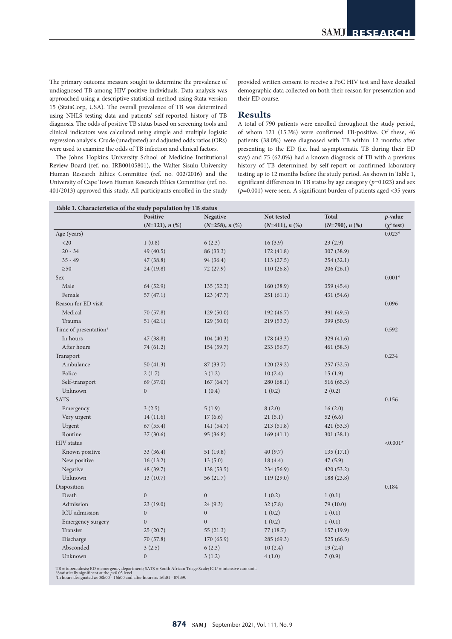The primary outcome measure sought to determine the prevalence of undiagnosed TB among HIV-positive individuals. Data analysis was approached using a descriptive statistical method using Stata version 15 (StataCorp, USA). The overall prevalence of TB was determined using NHLS testing data and patients' self-reported history of TB diagnosis. The odds of positive TB status based on screening tools and clinical indicators was calculated using simple and multiple logistic regression analysis. Crude (unadjusted) and adjusted odds ratios (ORs) were used to examine the odds of TB infection and clinical factors.

The Johns Hopkins University School of Medicine Institutional Review Board (ref. no. IRB00105801), the Walter Sisulu University Human Research Ethics Committee (ref. no. 002/2016) and the University of Cape Town Human Research Ethics Committee (ref. no. 401/2013) approved this study. All participants enrolled in the study provided written consent to receive a PoC HIV test and have detailed demographic data collected on both their reason for presentation and their ED course.

## **Results**

A total of 790 patients were enrolled throughout the study period, of whom 121 (15.3%) were confirmed TB-positive. Of these, 46 patients (38.0%) were diagnosed with TB within 12 months after presenting to the ED (i.e. had asymptomatic TB during their ED stay) and 75 (62.0%) had a known diagnosis of TB with a previous history of TB determined by self-report or confirmed laboratory testing up to 12 months before the study period. As shown in Table 1, significant differences in TB status by age category (*p*=0.023) and sex (*p*=0.001) were seen. A significant burden of patients aged <35 years

|                                   | Positive         | <b>Negative</b>  | Not tested       | <b>Total</b>     | p-value         |
|-----------------------------------|------------------|------------------|------------------|------------------|-----------------|
|                                   | $(N=121), n$ (%) | $(N=258), n$ (%) | $(N=411), n$ (%) | $(N=790), n$ (%) | $(\chi^2$ test) |
| Age (years)                       |                  |                  |                  |                  | $0.023*$        |
| <20                               | 1(0.8)           | 6(2.3)           | 16(3.9)          | 23(2.9)          |                 |
| $20 - 34$                         | 49 (40.5)        | 86 (33.3)        | 172(41.8)        | 307 (38.9)       |                 |
| $35 - 49$                         | 47 (38.8)        | 94 (36.4)        | 113(27.5)        | 254(32.1)        |                 |
| $\geq 50$                         | 24 (19.8)        | 72 (27.9)        | 110(26.8)        | 206(26.1)        |                 |
| <b>Sex</b>                        |                  |                  |                  |                  | $0.001*$        |
| Male                              | 64 (52.9)        | 135(52.3)        | 160(38.9)        | 359(45.4)        |                 |
| Female                            | 57(47.1)         | 123(47.7)        | 251(61.1)        | 431 (54.6)       |                 |
| Reason for ED visit               |                  |                  |                  |                  | 0.096           |
| Medical                           | 70 (57.8)        | 129(50.0)        | 192 (46.7)       | 391 (49.5)       |                 |
| Trauma                            | 51 (42.1)        | 129(50.0)        | 219 (53.3)       | 399 (50.5)       |                 |
| Time of presentation <sup>†</sup> |                  |                  |                  |                  | 0.592           |
| In hours                          | 47 (38.8)        | 104(40.3)        | 178 (43.3)       | 329(41.6)        |                 |
| After hours                       | 74 (61.2)        | 154 (59.7)       | 233 (56.7)       | 461(58.3)        |                 |
| Transport                         |                  |                  |                  |                  | 0.234           |
| Ambulance                         | 50(41.3)         | 87(33.7)         | 120(29.2)        | 257(32.5)        |                 |
| Police                            | 2(1.7)           | 3(1.2)           | 10(2.4)          | 15(1.9)          |                 |
| Self-transport                    | 69 (57.0)        | 167(64.7)        | 280 (68.1)       | 516 (65.3)       |                 |
| Unknown                           | $\overline{0}$   | 1(0.4)           | 1(0.2)           | 2(0.2)           |                 |
| <b>SATS</b>                       |                  |                  |                  |                  | 0.156           |
| Emergency                         | 3(2.5)           | 5(1.9)           | 8(2.0)           | 16(2.0)          |                 |
| Very urgent                       | 14(11.6)         | 17(6.6)          | 21(5.1)          | 52(6.6)          |                 |
| Urgent                            | 67(55.4)         | 141 (54.7)       | 213(51.8)        | 421(53.3)        |                 |
| Routine                           | 37(30.6)         | 95 (36.8)        | 169(41.1)        | 301(38.1)        |                 |
| <b>HIV</b> status                 |                  |                  |                  |                  | $< 0.001*$      |
| Known positive                    | 33 (36.4)        | 51(19.8)         | 40(9.7)          | 135(17.1)        |                 |
| New positive                      | 16(13.2)         | 13(5.0)          | 18(4.4)          | 47(5.9)          |                 |
| Negative                          | 48 (39.7)        | 138(53.5)        | 234 (56.9)       | 420(53.2)        |                 |
| Unknown                           | 13(10.7)         | 56 (21.7)        | 119(29.0)        | 188 (23.8)       |                 |
| Disposition                       |                  |                  |                  |                  | 0.184           |
| Death                             | $\overline{0}$   | $\mathbf{0}$     | 1(0.2)           | 1(0.1)           |                 |
| Admission                         | 23 (19.0)        | 24(9.3)          | 32(7.8)          | 79 (10.0)        |                 |
| ICU admission                     | $\mathbf{0}$     | $\mathbf{0}$     | 1(0.2)           | 1(0.1)           |                 |
| Emergency surgery                 | $\overline{0}$   | $\overline{0}$   | 1(0.2)           | 1(0.1)           |                 |
| Transfer                          | 25(20.7)         | 55(21.3)         | 77 (18.7)        | 157(19.9)        |                 |
| Discharge                         | 70 (57.8)        | 170(65.9)        | 285 (69.3)       | 525(66.5)        |                 |
| Absconded                         | 3(2.5)           | 6(2.3)           | 10(2.4)          | 19(2.4)          |                 |
| Unknown                           | $\overline{0}$   | 3(1.2)           | 4(1.0)           | 7(0.9)           |                 |
|                                   |                  |                  |                  |                  |                 |

TB = tuberculosis; ED = emergency department; SATS = South African Triage Scale; ICU = intensive care unit.<br>\*Statistically significant at the p<0.05 level.<br>"In hours designated as 08h00 - 16h00 and after hours as 16h01 - 0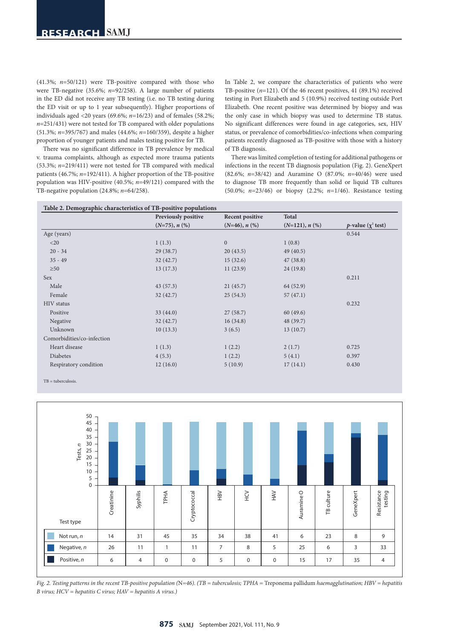(41.3%; *n*=50/121) were TB-positive compared with those who were TB-negative (35.6%; *n*=92/258). A large number of patients in the ED did not receive any TB testing (i.e. no TB testing during the ED visit or up to 1 year subsequently). Higher proportions of individuals aged <20 years (69.6%; *n*=16/23) and of females (58.2%; *n*=251/431) were not tested for TB compared with older populations (51.3%; *n*=395/767) and males (44.6%; *n*=160/359), despite a higher proportion of younger patients and males testing positive for TB.

There was no significant difference in TB prevalence by medical v. trauma complaints, although as expected more trauma patients (53.3%; *n*=219/411) were not tested for TB compared with medical patients (46.7%; *n*=192/411). A higher proportion of the TB-positive population was HIV-positive (40.5%; *n*=49/121) compared with the TB-negative population (24.8%; *n*=64/258).

In Table 2, we compare the characteristics of patients who were TB-positive (*n*=121). Of the 46 recent positives, 41 (89.1%) received testing in Port Elizabeth and 5 (10.9%) received testing outside Port Elizabeth. One recent positive was determined by biopsy and was the only case in which biopsy was used to determine TB status. No significant differences were found in age categories, sex, HIV status, or prevalence of comorbidities/co-infections when comparing patients recently diagnosed as TB-positive with those with a history of TB diagnosis.

There was limited completion of testing for additional pathogens or infections in the recent TB diagnosis population (Fig. 2). GeneXpert (82.6%; *n*=38/42) and Auramine O (87.0%; *n*=40/46) were used to diagnose TB more frequently than solid or liquid TB cultures (50.0%; *n*=23/46) or biopsy (2.2%; *n*=1/46). Resistance testing

|                            | Previously positive | Recent positive     | Total            |                                 |
|----------------------------|---------------------|---------------------|------------------|---------------------------------|
|                            | $(N=75), n$ (%)     | $(N=46)$ , n $(\%)$ | $(N=121), n$ (%) | <i>p</i> -value $(\chi^2$ test) |
| Age (years)                |                     |                     |                  | 0.544                           |
| $<$ 20                     | 1(1.3)              | $\mathbf{0}$        | 1(0.8)           |                                 |
| $20 - 34$                  | 29(38.7)            | 20(43.5)            | 49(40.5)         |                                 |
| $35 - 49$                  | 32(42.7)            | 15(32.6)            | 47(38.8)         |                                 |
| $\geq 50$                  | 13(17.3)            | 11(23.9)            | 24(19.8)         |                                 |
| Sex                        |                     |                     |                  | 0.211                           |
| Male                       | 43(57.3)            | 21(45.7)            | 64 (52.9)        |                                 |
| Female                     | 32(42.7)            | 25(54.3)            | 57(47.1)         |                                 |
| HIV status                 |                     |                     |                  | 0.232                           |
| Positive                   | 33(44.0)            | 27(58.7)            | 60(49.6)         |                                 |
| Negative                   | 32(42.7)            | 16(34.8)            | 48 (39.7)        |                                 |
| Unknown                    | 10(13.3)            | 3(6.5)              | 13(10.7)         |                                 |
| Comorbidities/co-infection |                     |                     |                  |                                 |
| Heart disease              | 1(1.3)              | 1(2.2)              | 2(1.7)           | 0.725                           |
| Diabetes                   | 4(5.3)              | 1(2.2)              | 5(4.1)           | 0.397                           |
| Respiratory condition      | 12(16.0)            | 5(10.9)             | 17(14.1)         | 0.430                           |

TB = tuberculosis.



*Fig. 2. Testing patterns in the recent TB-positive population (*N*=46). (TB = tuberculosis; TPHA =* Treponema pallidum *haemagglutination; HBV = hepatitis B virus; HCV = hepatitis C virus; HAV = hepatitis A virus.)*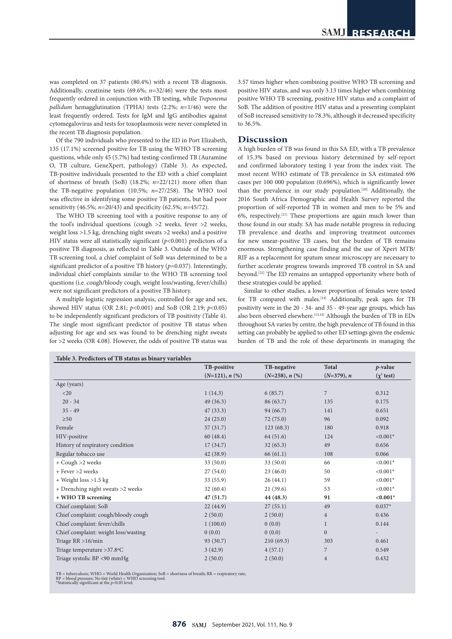was completed on 37 patients (80.4%) with a recent TB diagnosis. Additionally, creatinine tests (69.6%; *n*=32/46) were the tests most frequently ordered in conjunction with TB testing, while *Treponema pallidum* hemagglutination (TPHA) tests (2.2%; *n*=1/46) were the least frequently ordered. Tests for IgM and IgG antibodies against cytomegalovirus and tests for toxoplasmosis were never completed in the recent TB diagnosis population.

Of the 790 individuals who presented to the ED in Port Elizabeth, 135 (17.1%) screened positive for TB using the WHO TB screening questions, while only 45 (5.7%) had testing-confirmed TB (Auramine O, TB culture, GeneXpert, pathology) (Table 3). As expected, TB-positive individuals presented to the ED with a chief complaint of shortness of breath (SoB) (18.2%; *n*=22/121) more often than the TB-negative population (10.5%; *n*=27/258). The WHO tool was effective in identifying some positive TB patients, but had poor sensitivity (46.5%; *n*=20/43) and specificity (62.5%; *n*=45/72).

The WHO TB screening tool with a positive response to any of the tool's individual questions (cough >2 weeks, fever >2 weeks, weight loss >1.5 kg, drenching night sweats >2 weeks) and a positive HIV status were all statistically significant (*p*<0.001) predictors of a positive TB diagnosis, as reflected in Table 3. Outside of the WHO TB screening tool, a chief complaint of SoB was determined to be a significant predictor of a positive TB history (*p*=0.037). Interestingly, individual chief complaints similar to the WHO TB screening tool questions (i.e. cough/bloody cough, weight loss/wasting, fever/chills) were not significant predictors of a positive TB history.

A multiple logistic regression analysis, controlled for age and sex, showed HIV status (OR 2.81; *p*<0.001) and SoB (OR 2.19; *p*<0.05) to be independently significant predictors of TB positivity (Table 4). The single most significant predictor of positive TB status when adjusting for age and sex was found to be drenching night sweats for >2 weeks (OR 4.08). However, the odds of positive TB status was 3.57 times higher when combining positive WHO TB screening and positive HIV status, and was only 3.13 times higher when combining positive WHO TB screening, positive HIV status and a complaint of SoB. The addition of positive HIV status and a presenting complaint of SoB increased sensitivity to 78.3%, although it decreased specificity to 36.5%.

### **Discussion**

A high burden of TB was found in this SA ED, with a TB prevalence of 15.3% based on previous history determined by self-report and confirmed laboratory testing 1 year from the index visit. The most recent WHO estimate of TB prevalence in SA estimated 696 cases per 100 000 population (0.696%), which is significantly lower than the prevalence in our study population.[20] Additionally, the 2016 South Africa Demographic and Health Survey reported the proportion of self-reported TB in women and men to be 5% and 6%, respectively.[21] These proportions are again much lower than those found in our study. SA has made notable progress in reducing TB prevalence and deaths and improving treatment outcomes for new smear-positive TB cases, but the burden of TB remains enormous. Strengthening case finding and the use of Xpert MTB/ RIF as a replacement for sputum smear microscopy are necessary to further accelerate progress towards improved TB control in SA and beyond.[22] The ED remains an untapped opportunity where both of these strategies could be applied.

Similar to other studies, a lower proportion of females were tested for TB compared with males.<sup>[14]</sup> Additionally, peak ages for TB positivity were in the 20 - 34- and 35 - 49-year age groups, which has also been observed elsewhere.<sup>[13,14]</sup> Although the burden of TB in EDs throughout SA varies by centre, the high prevalence of TB found in this setting can probably be applied to other ED settings given the endemic burden of TB and the role of these departments in managing the

|                                      | TB-positive      | TB-negative      | <b>Total</b>     | $p$ -value              |
|--------------------------------------|------------------|------------------|------------------|-------------------------|
|                                      | $(N=121), n$ (%) | $(N=258), n$ (%) | $(N=379), n$     | $(\chi^2 \text{ test})$ |
| Age (years)                          |                  |                  |                  |                         |
| $<$ 20                               | 1(14.3)          | 6(85.7)          | 7                | 0.312                   |
| $20 - 34$                            | 49(36.3)         | 86 (63.7)        | 135              | 0.175                   |
| $35 - 49$                            | 47(33.3)         | 94 (66.7)        | 141              | 0.651                   |
| $\geq 50$                            | 24(25.0)         | 72 (75.0)        | 96               | 0.092                   |
| Female                               | 57(31.7)         | 123(68.3)        | 180              | 0.918                   |
| HIV-positive                         | 60 (48.4)        | 64 (51.6)        | 124              | $< 0.001*$              |
| History of respiratory condition     | 17(34.7)         | 32(65.3)         | 49               | 0.656                   |
| Regular tobacco use                  | 42(38.9)         | 66(61.1)         | 108              | 0.066                   |
| + Cough >2 weeks                     | 33(50.0)         | 33(50.0)         | 66               | $< 0.001*$              |
| + Fever >2 weeks                     | 27(54.0)         | 23(46.0)         | 50               | $< 0.001*$              |
| $+$ Weight loss > 1.5 kg             | 33(55.9)         | 26(44.1)         | 59               | $< 0.001*$              |
| + Drenching night sweats >2 weeks    | 32(60.4)         | 21 (39.6)        | 53               | $< 0.001*$              |
| + WHO TB screening                   | 47(51.7)         | 44 (48.3)        | 91               | $< 0.001*$              |
| Chief complaint: SoB                 | 22(44.9)         | 27(55.1)         | 49               | $0.037*$                |
| Chief complaint: cough/bloody cough  | 2(50.0)          | 2(50.0)          | $\overline{4}$   | 0.436                   |
| Chief complaint: fever/chills        | 1(100.0)         | 0(0.0)           | $\mathbf{1}$     | 0.144                   |
| Chief complaint: weight loss/wasting | 0(0.0)           | 0(0.0)           | $\boldsymbol{0}$ |                         |
| Triage $RR > 16/min$                 | 93 (30.7)        | 210(69.3)        | 303              | 0.461                   |
| Triage temperature > 37.8 °C         | 3(42.9)          | 4(57.1)          | 7                | 0.549                   |
| Triage systolic BP <90 mmHg          | 2(50.0)          | 2(50.0)          | $\overline{4}$   | 0.432                   |

TB = tuberculosis; WHO = World Health Organization; SoB = shortness of breath; RR = respiratory rate;<br>BP = blood pressure; No tint (white) = WHO screening tool.<br>\*Statistically significant at the *p*<0.05 level.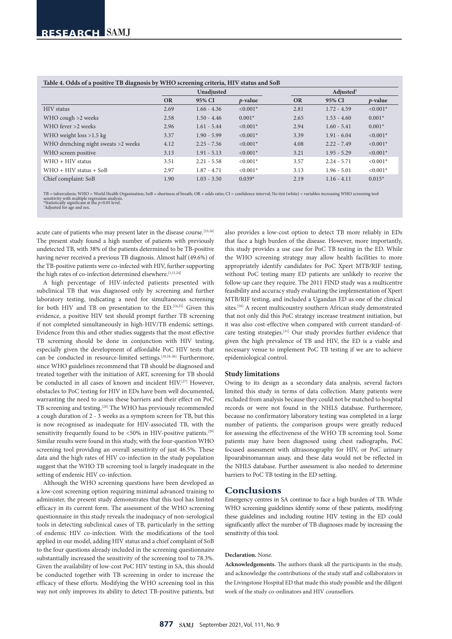| Table 4. Odds of a positive TB diagnosis by WHO screening criteria, HIV status and SoB |  |  |
|----------------------------------------------------------------------------------------|--|--|
|----------------------------------------------------------------------------------------|--|--|

| ----------                          |           |               |            |           |                    |            |  |
|-------------------------------------|-----------|---------------|------------|-----------|--------------------|------------|--|
|                                     |           | Unadjusted    |            |           | Adjusted $\dagger$ |            |  |
|                                     | <b>OR</b> | 95% CI        | $p$ -value | <b>OR</b> | 95% CI             | $p$ -value |  |
| <b>HIV</b> status                   | 2.69      | $1.66 - 4.36$ | $< 0.001*$ | 2.81      | $1.72 - 4.59$      | $< 0.001*$ |  |
| WHO cough $>2$ weeks                | 2.58      | $1.50 - 4.46$ | $0.001*$   | 2.65      | $1.53 - 4.60$      | $0.001*$   |  |
| WHO fever >2 weeks                  | 2.96      | $1.61 - 5.44$ | $< 0.001*$ | 2.94      | $1.60 - 5.41$      | $0.001*$   |  |
| WHO weight $loss > 1.5$ kg          | 3.37      | $1.90 - 5.99$ | $< 0.001*$ | 3.39      | $1.91 - 6.04$      | $< 0.001*$ |  |
| WHO drenching night sweats >2 weeks | 4.12      | $2.25 - 7.56$ | $< 0.001*$ | 4.08      | $2.22 - 7.49$      | $< 0.001*$ |  |
| WHO screen positive                 | 3.13      | $1.91 - 5.13$ | $< 0.001*$ | 3.21      | $1.95 - 5.29$      | $< 0.001*$ |  |
| $WHO + HIV$ status                  | 3.51      | $2.21 - 5.58$ | $< 0.001*$ | 3.57      | $2.24 - 5.71$      | $< 0.001*$ |  |
| $WHO + HIV$ status + SoB            | 2.97      | $1.87 - 4.71$ | $< 0.001*$ | 3.13      | $1.96 - 5.01$      | $< 0.001*$ |  |
| Chief complaint: SoB                | 1.90      | $1.03 - 3.50$ | $0.039*$   | 2.19      | $1.16 - 4.11$      | $0.015*$   |  |

TB = tuberculosis; WHO = World Health Organization; SoB = shortness of breath; OR = odds ratio; CI = confidence interval; No tint (white) = variables increasing WHO screening tool sensitivity with multiple regression analysis. \*Statistically significant at the *p*<0.05 level. †

\*Adjusted for age and sex.

acute care of patients who may present later in the disease course.<sup>[23,16]</sup> The present study found a high number of patients with previously undetected TB, with 38% of the patients determined to be TB-positive having never received a previous TB diagnosis. Almost half (49.6%) of the TB-positive patients were co-infected with HIV, further supporting the high rates of co-infection determined elsewhere.<sup>[1,11,24]</sup>

A high percentage of HIV-infected patients presented with subclinical TB that was diagnosed only by screening and further laboratory testing, indicating a need for simultaneous screening for both HIV and TB on presentation to the ED.[24,25] Given this evidence, a positive HIV test should prompt further TB screening if not completed simultaneously in high-HIV/TB endemic settings. Evidence from this and other studies suggests that the most effective TB screening should be done in conjunction with HIV testing, especially given the development of affordable PoC HIV tests that can be conducted in resource-limited settings.[10,24-26] Furthermore, since WHO guidelines recommend that TB should be diagnosed and treated together with the initiation of ART, screening for TB should be conducted in all cases of known and incident HIV.[27] However, obstacles to PoC testing for HIV in EDs have been well documented, warranting the need to assess these barriers and their effect on PoC TB screening and testing.[28] The WHO has previously recommended a cough duration of 2 - 3 weeks as a symptom screen for TB, but this is now recognised as inadequate for HIV-associated TB, with the sensitivity frequently found to be  $<50\%$  in HIV-positive patients.<sup>[29]</sup> Similar results were found in this study, with the four-question WHO screening tool providing an overall sensitivity of just 46.5%. These data and the high rates of HIV co-infection in the study population suggest that the WHO TB screening tool is largely inadequate in the setting of endemic HIV co-infection.

Although the WHO screening questions have been developed as a low-cost screening option requiring minimal advanced training to administer, the present study demonstrates that this tool has limited efficacy in its current form. The assessment of the WHO screening questionnaire in this study reveals the inadequacy of non-serological tools in detecting subclinical cases of TB, particularly in the setting of endemic HIV co-infection. With the modifications of the tool applied in our model, adding HIV status and a chief complaint of SoB to the four questions already included in the screening questionnaire substantially increased the sensitivity of the screening tool to 78.3%. Given the availability of low-cost PoC HIV testing in SA, this should be conducted together with TB screening in order to increase the efficacy of these efforts. Modifying the WHO screening tool in this way not only improves its ability to detect TB-positive patients, but

also provides a low-cost option to detect TB more reliably in EDs that face a high burden of the disease. However, more importantly, this study provides a use case for PoC TB testing in the ED. While the WHO screening strategy may allow health facilities to more appropriately identify candidates for PoC Xpert MTB/RIF testing, without PoC testing many ED patients are unlikely to receive the follow-up care they require. The 2011 FIND study was a multicentre feasibility and accuracy study evaluating the implementation of Xpert MTB/RIF testing, and included a Ugandan ED as one of the clinical sites.<sup>[30]</sup> A recent multicountry southern African study demonstrated that not only did this PoC strategy increase treatment initiation, but it was also cost-effective when compared with current standard-ofcare testing strategies.[31] Our study provides further evidence that given the high prevalence of TB and HIV, the ED is a viable and necessary venue to implement PoC TB testing if we are to achieve epidemiological control.

#### **Study limitations**

Owing to its design as a secondary data analysis, several factors limited this study in terms of data collection. Many patients were excluded from analysis because they could not be matched to hospital records or were not found in the NHLS database. Furthermore, because no confirmatory laboratory testing was completed in a large number of patients, the comparison groups were greatly reduced for assessing the effectiveness of the WHO TB screening tool. Some patients may have been diagnosed using chest radiographs, PoC focused assessment with ultrasonography for HIV, or PoC urinary lipoarabinomannan assay, and these data would not be reflected in the NHLS database. Further assessment is also needed to determine barriers to PoC TB testing in the ED setting.

#### **Conclusions**

Emergency centres in SA continue to face a high burden of TB. While WHO screening guidelines identify some of these patients, modifying these guidelines and including routine HIV testing in the ED could significantly affect the number of TB diagnoses made by increasing the sensitivity of this tool.

#### **Declaration.** None.

**Acknowledgements.** The authors thank all the participants in the study, and acknowledge the contributions of the study staff and collaborators in the Livingstone Hospital ED that made this study possible and the diligent work of the study co-ordinators and HIV counsellors.